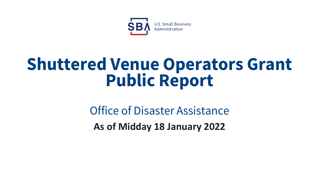

# **Shuttered Venue Operators Grant Public Report**

Office of Disaster Assistance **As of Midday 18 January 2022**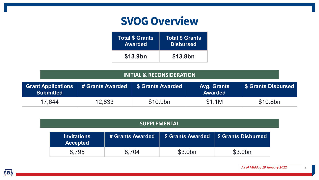## **SVOG Overview**

| <b>Total \$ Grants</b> | <b>Total \$ Grants</b> |
|------------------------|------------------------|
| <b>Awarded</b>         | <b>Disbursed</b>       |
| \$13.9bn               | \$13.8bn               |

| <b>INITIAL &amp; RECONSIDERATION</b>          |                                                                                                            |          |        |          |  |  |  |
|-----------------------------------------------|------------------------------------------------------------------------------------------------------------|----------|--------|----------|--|--|--|
| <b>Grant Applications</b><br><b>Submitted</b> | S Grants Awarded<br><b>\$ Grants Disbursed</b><br># Grants Awarded<br><b>Avg. Grants</b><br><b>Awarded</b> |          |        |          |  |  |  |
| 17,644                                        | 12,833                                                                                                     | \$10.9bn | \$1.1M | \$10.8bn |  |  |  |

#### **SUPPLEMENTAL**

| <b>Invitations</b><br><b>Accepted</b> | # Grants Awarded | \$ Grants Awarded   \$ Grants Disbursed |         |
|---------------------------------------|------------------|-----------------------------------------|---------|
| 8.795                                 | 8,704            | \$3.0bn                                 | \$3.0bn |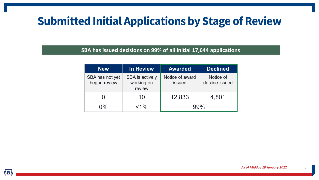# **Submitted Initial Applications by Stage of Review**

#### **SBA has issued decisions on 99% of all initial 17,644 applications**

| <b>New</b>                      | <b>In Review</b>                               | <b>Awarded</b>            | <b>Declined</b>             |
|---------------------------------|------------------------------------------------|---------------------------|-----------------------------|
| SBA has not yet<br>begun review | <b>SBA</b> is actively<br>working on<br>review | Notice of award<br>issued | Notice of<br>decline issued |
|                                 | 10                                             | 12,833                    | 4,801                       |
| $0\%$                           | $< 1\%$                                        |                           | 0% Q                        |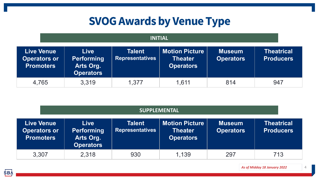# **SVOG Awards by Venue Type**

#### **INITIAL**

| <b>Live Venue</b><br><b>Operators or</b><br><b>Promoters</b> | <b>Live</b><br><b>Performing</b><br>Arts Org.<br><b>Operators</b> | <b>Talent</b><br><b>Representatives</b> | <b>Motion Picture</b><br><b>Theater</b><br><b>Operators</b> | <b>Museum</b><br><b>Operators</b> | <b>Theatrical</b><br><b>Producers</b> |
|--------------------------------------------------------------|-------------------------------------------------------------------|-----------------------------------------|-------------------------------------------------------------|-----------------------------------|---------------------------------------|
| 4,765                                                        | 3,319                                                             | 1,377                                   | 1.611                                                       | 814                               | 947                                   |

| <b>SUPPLEMENTAL</b>                                          |                                                                   |                                         |                                                             |                                   |                                       |
|--------------------------------------------------------------|-------------------------------------------------------------------|-----------------------------------------|-------------------------------------------------------------|-----------------------------------|---------------------------------------|
| <b>Live Venue</b><br><b>Operators or</b><br><b>Promoters</b> | <b>Live</b><br><b>Performing</b><br>Arts Org.<br><b>Operators</b> | <b>Talent</b><br><b>Representatives</b> | <b>Motion Picture</b><br><b>Theater</b><br><b>Operators</b> | <b>Museum</b><br><b>Operators</b> | <b>Theatrical</b><br><b>Producers</b> |
| 3,307                                                        | 2,318                                                             | 930                                     | 1.139                                                       | 297                               | 713                                   |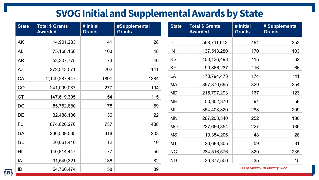## **SVOG Initial and Supplemental Awards by State**

| <b>State</b> | <b>Total \$ Grants</b><br><b>Awarded</b> | $#$ Initial<br><b>Grants</b> | #Supplemental<br><b>Grants</b> | <b>State</b> | <b>Total \$ Grants</b><br><b>Awarded</b> | $#$ Initial<br><b>Grants</b> | # Supplemental<br><b>Grants</b> |
|--------------|------------------------------------------|------------------------------|--------------------------------|--------------|------------------------------------------|------------------------------|---------------------------------|
| AK           | 14,901,233                               | 41                           | 28                             | IL           | 558,711,643                              | 494                          | 352                             |
| <b>AL</b>    | 75, 168, 158                             | 103                          | 48                             | IN           | 137,513,280                              | 170                          | 103                             |
| <b>AR</b>    | 53,307,775                               | 73                           | 46                             | KS           | 100,136,498                              | 115                          | 62                              |
| AZ           | 272,543,571                              | 202                          | 141                            | <b>KY</b>    | 90,866,237                               | 116                          | 66                              |
| CA           | 2,149,287,447                            | 1891                         | 1384                           | LA           | 173,794,473                              | 174                          | 111                             |
| CO           | 241,009,087                              | 277                          | 194                            | <b>MA</b>    | 397,870,665                              | 329                          | 254                             |
| <b>CT</b>    | 147,619,305                              | 154                          | 115                            | <b>MD</b>    | 215,797,293                              | 167                          | 123                             |
| DC           | 85,752,880                               | 78                           | 59                             | <b>ME</b>    | 50,802,370                               | 91                           | 58                              |
|              |                                          |                              |                                | MI           | 354,408,820                              | 288                          | 209                             |
| DE           | 32,488,136                               | 36                           | 22                             | <b>MN</b>    | 267,203,340                              | 252                          | 180                             |
| <b>FL</b>    | 874,620,270                              | 737                          | 438                            | <b>MO</b>    | 227,666,354                              | 227                          | 136                             |
| GA           | 236,509,535                              | 318                          | 203                            | <b>MS</b>    | 19,354,206                               | 48                           | 28                              |
| GU           | 20,061,410                               | 12                           | 10                             | <b>MT</b>    | 20,688,305                               | 59                           | 31                              |
| HI           | 140,814,447                              | 77                           | 56                             | <b>NC</b>    | 284,516,576                              | 329                          | 235                             |
| IA           | 91,549,321                               | 136                          | 82                             | <b>ND</b>    | 36,377,506                               | 35                           | 15                              |
| ID           | 54,766,474                               | 58                           | 39                             |              |                                          |                              | As of Midday 18 January 2022    |

**SBA**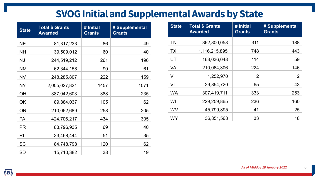## **SVOG Initial and Supplemental Awards by State**

| <b>State</b>   | <b>Total \$ Grants</b><br><b>Awarded</b> | # Initial<br><b>Grants</b> | # Supplemental<br><b>Grants</b> |
|----------------|------------------------------------------|----------------------------|---------------------------------|
| <b>NE</b>      | 81,317,233                               | 86                         | 49                              |
| <b>NH</b>      | 39,509,012                               | 60                         | 40                              |
| <b>NJ</b>      | 244,519,212                              | 261                        | 196                             |
| <b>NM</b>      | 62,344,158                               | 90                         | 61                              |
| <b>NV</b>      | 248,285,807                              | 222                        | 159                             |
| <b>NY</b>      | 2,005,027,821                            | 1457                       | 1071                            |
| <b>OH</b>      | 387,042,603                              | 388                        | 235                             |
| OK             | 89,884,037                               | 105                        | 62                              |
| <b>OR</b>      | 210,062,689                              | 258                        | 205                             |
| <b>PA</b>      | 424,706,217                              | 434                        | 305                             |
| <b>PR</b>      | 83,796,935                               | 69                         | 40                              |
| R <sub>l</sub> | 33,468,444                               | 51                         | 35                              |
| <b>SC</b>      | 84,748,798                               | 120                        | 62                              |
| <b>SD</b>      | 15,710,382                               | 38                         | 19                              |

| <b>State</b> | <b>Total \$ Grants</b><br><b>Awarded</b> | # Initial<br><b>Grants</b> | # Supplemental<br><b>Grants</b> |
|--------------|------------------------------------------|----------------------------|---------------------------------|
| <b>TN</b>    | 362,800,058                              | 311                        | 188                             |
| <b>TX</b>    | 1,116,215,895                            | 748                        | 443                             |
| UT           | 163,036,048                              | 114                        | 59                              |
| <b>VA</b>    | 210,064,306                              | 224                        | 146                             |
| VI           | 1,252,970                                | 2                          | 2                               |
| <b>VT</b>    | 29,894,720                               | 65                         | 43                              |
| <b>WA</b>    | 307,419,711                              | 333                        | 253                             |
| WI           | 229,259,865                              | 236                        | 160                             |
| <b>WV</b>    | 45,799,895                               | 41                         | 25                              |
| <b>WY</b>    | 36,851,568                               | 33                         | 18                              |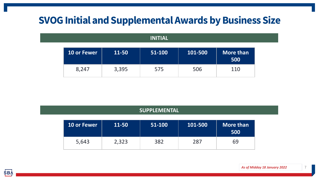## **SVOG Initial and Supplemental Awards by Business Size**

#### **INITIAL**

| <b>10 or Fewer</b> | 11-50 | 51-100 | 101-500 | More than<br>500 |
|--------------------|-------|--------|---------|------------------|
| 8,247              | 3,395 | 575    | 506     | 110              |

|                    | <b>SUPPLEMENTAL</b> |        |         |                         |  |  |
|--------------------|---------------------|--------|---------|-------------------------|--|--|
| <b>10 or Fewer</b> | 11-50               | 51-100 | 101-500 | <b>More than</b><br>500 |  |  |
| 5,643              | 2,323               | 382    | 287     | 69                      |  |  |